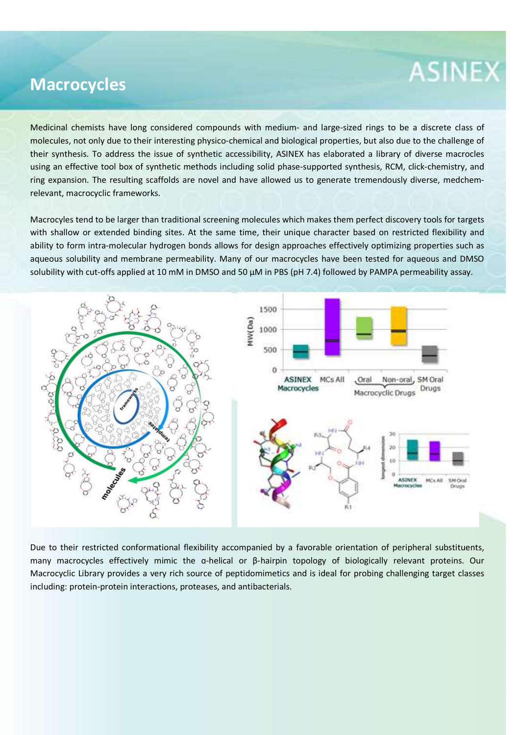## **ASINEX**

## **Macrocycles**

Medicinal chemists have long considered compounds with medium- and large-sized rings to be a discrete class of molecules, not only due to their interesting physico-chemical and biological properties, but also due to the challenge of their synthesis. To address the issue of synthetic accessibility, ASINEX has elaborated a library of diverse macrocles using an effective tool box of synthetic methods including solid phase-supported synthesis, RCM, click-chemistry, and ring expansion. The resulting scaffolds are novel and have allowed us to generate tremendously diverse, medchemrelevant, macrocyclic frameworks.

Macrocyles tend to be larger than traditional screening molecules which makes them perfect discovery tools for targets with shallow or extended binding sites. At the same time, their unique character based on restricted flexibility and ability to form intra-molecular hydrogen bonds allows for design approaches effectively optimizing properties such as aqueous solubility and membrane permeability. Many of our macrocycles have been tested for aqueous and DMSO solubility with cut-offs applied at 10 mM in DMSO and 50  $\mu$ M in PBS (pH 7.4) followed by PAMPA permeability assay.



Due to their restricted conformational flexibility accompanied by a favorable orientation of peripheral substituents, many macrocycles effectively mimic the ɑ-helical or β-hairpin topology of biologically relevant proteins. Our Macrocyclic Library provides a very rich source of peptidomimetics and is ideal for probing challenging target classes including: protein-protein interactions, proteases, and antibacterials.